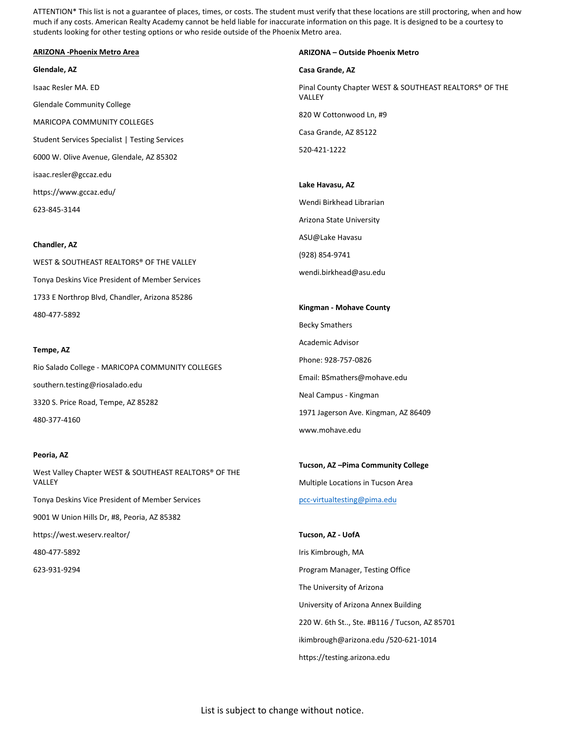ATTENTION\* This list is not a guarantee of places, times, or costs. The student must verify that these locations are still proctoring, when and how much if any costs. American Realty Academy cannot be held liable for inaccurate information on this page. It is designed to be a courtesy to students looking for other testing options or who reside outside of the Phoenix Metro area.

### **ARIZONA -Phoenix Metro Area**

#### **Glendale, AZ**

Isaac Resler MA. ED Glendale Community College MARICOPA COMMUNITY COLLEGES Student Services Specialist | Testing Services 6000 W. Olive Avenue, Glendale, AZ 85302 isaac.resler@gccaz.edu https://www.gccaz.edu/ 623-845-3144

#### **Chandler, AZ**

WEST & SOUTHEAST REALTORS® OF THE VALLEY Tonya Deskins Vice President of Member Services 1733 E Northrop Blvd, Chandler, Arizona 85286 480-477-5892

#### **Tempe, AZ**

Rio Salado College - MARICOPA COMMUNITY COLLEGES southern.testing@riosalado.edu 3320 S. Price Road, Tempe, AZ 85282 480-377-4160

# **Peoria, AZ**

West Valley Chapter WEST & SOUTHEAST REALTORS® OF THE **VALLEY** Tonya Deskins Vice President of Member Services 9001 W Union Hills Dr, #8, Peoria, AZ 85382 https://west.weserv.realtor/ 480-477-5892

623-931-9294

#### **ARIZONA – Outside Phoenix Metro**

#### **Casa Grande, AZ**

Pinal County Chapter WEST & SOUTHEAST REALTORS® OF THE VALLEY 820 W Cottonwood Ln, #9 Casa Grande, AZ 85122 520-421-1222

#### **Lake Havasu, AZ**

Wendi Birkhead Librarian Arizona State University ASU@Lake Havasu (928) 854-9741 wendi.birkhead@asu.edu

**Kingman - Mohave County** Becky Smathers Academic Advisor Phone: 928-757-0826 Email: BSmathers@mohave.edu Neal Campus - Kingman 1971 Jagerson Ave. Kingman, AZ 86409 www.mohave.edu

**Tucson, AZ –Pima Community College** Multiple Locations in Tucson Area [pcc-virtualtesting@pima.edu](mailto:pcc-virtualtesting@pima.edu)

**Tucson, AZ - UofA** Iris Kimbrough, MA Program Manager, Testing Office The University of Arizona University of Arizona Annex Building 220 W. 6th St.., Ste. #B116 / Tucson, AZ 85701 ikimbrough@arizona.edu /520-621-1014 https://testing.arizona.edu